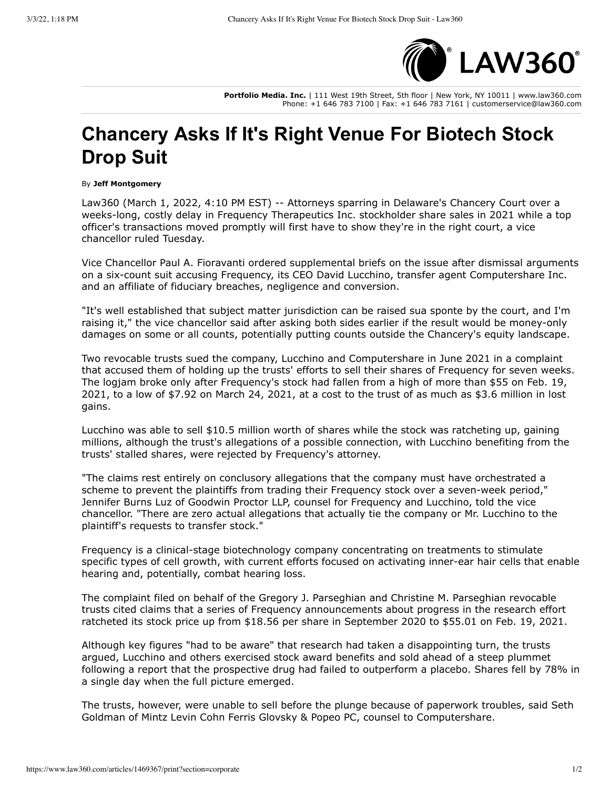

Portfolio Media. Inc. | 111 West 19th Street, 5th floor | New York, NY 10011 | www.law360.com Phone: +1 646 783 7100 | Fax: +1 646 783 7161 | customerservice@law360.com

## **Chancery Asks If It's Right Venue For Biotech Stock Drop Suit**

## By Jeff Montgomery

Law360 (March 1, 2022, 4:10 PM EST) -- Attorneys sparring in Delaware's Chancery Court over a weeks-long, costly delay in Frequency Therapeutics Inc. stockholder share sales in 2021 while a top officer's transactions moved promptly will first have to show they're in the right court, a vice chancellor ruled Tuesday.

Vice Chancellor Paul A. Fioravanti ordered supplemental briefs on the issue after dismissal arguments on a six-count suit accusing Frequency, its CEO David Lucchino, transfer agent Computershare Inc. and an affiliate of fiduciary breaches, negligence and conversion.

"It's well established that subject matter jurisdiction can be raised sua sponte by the court, and I'm raising it," the vice chancellor said after asking both sides earlier if the result would be money-only damages on some or all counts, potentially putting counts outside the Chancery's equity landscape.

Two revocable trusts sued the company, Lucchino and Computershare in June 2021 in a complaint that accused them of holding up the trusts' efforts to sell their shares of Frequency for seven weeks. The logjam broke only after Frequency's stock had fallen from a high of more than \$55 on Feb. 19, 2021, to a low of \$7.92 on March 24, 2021, at a cost to the trust of as much as \$3.6 million in lost gains.

Lucchino was able to sell \$10.5 million worth of shares while the stock was ratcheting up, gaining millions, although the trust's allegations of a possible connection, with Lucchino benefiting from the trusts' stalled shares, were rejected by Frequency's attorney.

"The claims rest entirely on conclusory allegations that the company must have orchestrated a scheme to prevent the plaintiffs from trading their Frequency stock over a seven-week period," Jennifer Burns Luz of Goodwin Proctor LLP, counsel for Frequency and Lucchino, told the vice chancellor. "There are zero actual allegations that actually tie the company or Mr. Lucchino to the plaintiff's requests to transfer stock."

Frequency is a clinical-stage biotechnology company concentrating on treatments to stimulate specific types of cell growth, with current efforts focused on activating inner-ear hair cells that enable hearing and, potentially, combat hearing loss.

The complaint filed on behalf of the Gregory J. Parseghian and Christine M. Parseghian revocable trusts cited claims that a series of Frequency announcements about progress in the research effort ratcheted its stock price up from \$18.56 per share in September 2020 to \$55.01 on Feb. 19, 2021.

Although key figures "had to be aware" that research had taken a disappointing turn, the trusts argued, Lucchino and others exercised stock award benefits and sold ahead of a steep plummet following a report that the prospective drug had failed to outperform a placebo. Shares fell by 78% in a single day when the full picture emerged.

The trusts, however, were unable to sell before the plunge because of paperwork troubles, said Seth Goldman of Mintz Levin Cohn Ferris Glovsky & Popeo PC, counsel to Computershare.